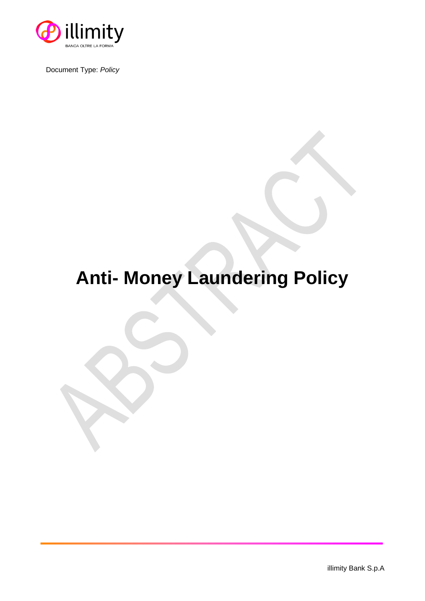

Document Type: *Policy*

## **Anti- Money Laundering Policy**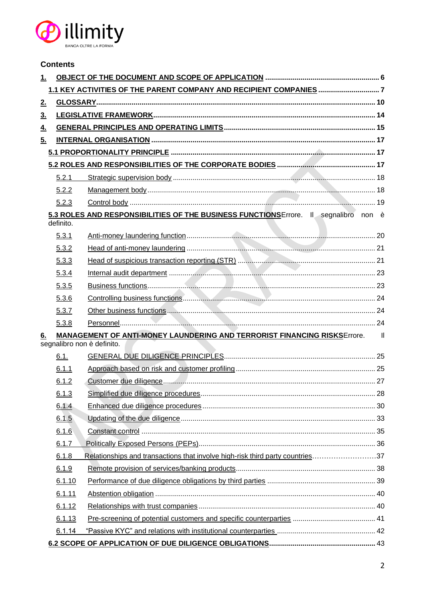

|                | <b>Contents</b> |                                                                                                        |                |
|----------------|-----------------|--------------------------------------------------------------------------------------------------------|----------------|
| <u>1.</u>      |                 |                                                                                                        |                |
|                |                 |                                                                                                        |                |
| 2.             |                 |                                                                                                        |                |
| 3 <sub>1</sub> |                 |                                                                                                        |                |
| 4.             |                 |                                                                                                        |                |
| 5.             |                 |                                                                                                        |                |
|                |                 |                                                                                                        |                |
|                |                 |                                                                                                        |                |
|                | 5.2.1           |                                                                                                        |                |
|                | 5.2.2           |                                                                                                        |                |
|                | 5.2.3           |                                                                                                        |                |
|                | definito.       | 5.3 ROLES AND RESPONSIBILITIES OF THE BUSINESS FUNCTIONS Errore. Il segnalibro non è                   |                |
|                | 5.3.1           |                                                                                                        |                |
|                | 5.3.2           |                                                                                                        |                |
|                | 5.3.3           |                                                                                                        |                |
|                | 5.3.4           |                                                                                                        |                |
|                | 5.3.5           |                                                                                                        |                |
|                | 5.3.6           |                                                                                                        |                |
|                | 5.3.7           |                                                                                                        |                |
|                | 5.3.8           |                                                                                                        |                |
| 6.             |                 | MANAGEMENT OF ANTI-MONEY LAUNDERING AND TERRORIST FINANCING RISKSErrore.<br>segnalibro non è definito. | $\blacksquare$ |
|                | 6.1.            |                                                                                                        |                |
|                | 6.1.1           |                                                                                                        |                |
|                |                 |                                                                                                        |                |
|                | 6.1.3           |                                                                                                        |                |
|                | 6.1.4           |                                                                                                        |                |
|                | 6.1.5           |                                                                                                        |                |
|                | 6.1.6           |                                                                                                        |                |
|                | 6.1.7           |                                                                                                        |                |
|                | 6.1.8           | Relationships and transactions that involve high-risk third party countries37                          |                |
|                | 6.1.9           |                                                                                                        |                |
|                | 6.1.10          |                                                                                                        |                |
|                | 6.1.11          |                                                                                                        |                |
|                | 6.1.12          |                                                                                                        |                |
|                | 6.1.13          |                                                                                                        |                |
|                | 6.1.14          |                                                                                                        |                |
|                |                 |                                                                                                        |                |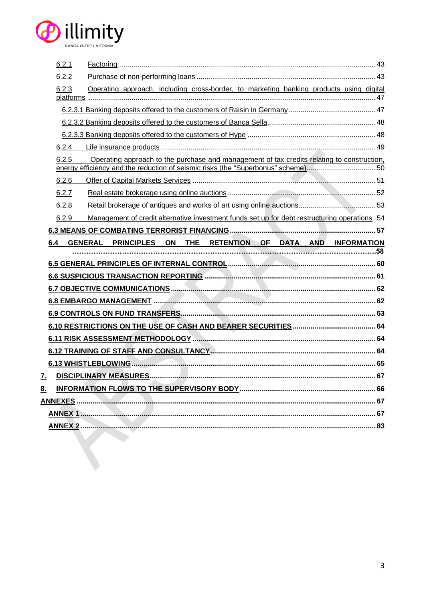

| 6.2.1 |                                                                                                |
|-------|------------------------------------------------------------------------------------------------|
| 6.2.2 |                                                                                                |
| 6.2.3 | Operating approach, including cross-border, to marketing banking products using digital        |
|       |                                                                                                |
|       |                                                                                                |
|       |                                                                                                |
|       |                                                                                                |
| 6.2.4 |                                                                                                |
| 6.2.5 | Operating approach to the purchase and management of tax credits relating to construction,     |
| 6.2.6 |                                                                                                |
| 6.2.7 |                                                                                                |
| 6.2.8 |                                                                                                |
| 6.2.9 | Management of credit alternative investment funds set up for debt restructuring operations. 54 |
|       |                                                                                                |
| 6.4   | GENERAL PRINCIPLES ON THE RETENTION OF DATA AND INFORMATION                                    |
|       |                                                                                                |
|       |                                                                                                |
|       |                                                                                                |
|       |                                                                                                |
|       |                                                                                                |
|       |                                                                                                |
|       |                                                                                                |
|       |                                                                                                |
|       |                                                                                                |
|       |                                                                                                |
|       |                                                                                                |
| 7.    |                                                                                                |
| 8.    |                                                                                                |
|       |                                                                                                |
|       |                                                                                                |
|       |                                                                                                |
|       |                                                                                                |
|       |                                                                                                |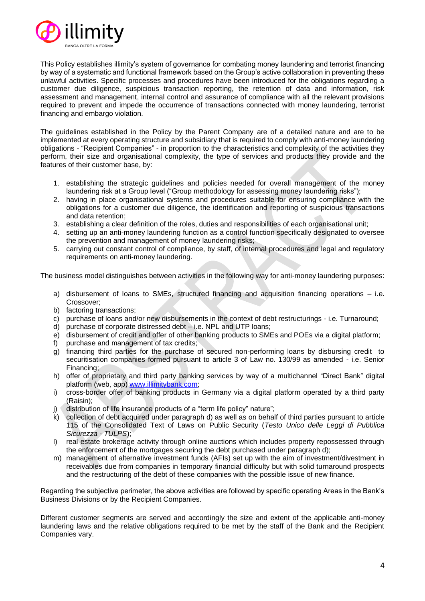

This Policy establishes illimity's system of governance for combating money laundering and terrorist financing by way of a systematic and functional framework based on the Group's active collaboration in preventing these unlawful activities. Specific processes and procedures have been introduced for the obligations regarding a customer due diligence, suspicious transaction reporting, the retention of data and information, risk assessment and management, internal control and assurance of compliance with all the relevant provisions required to prevent and impede the occurrence of transactions connected with money laundering, terrorist financing and embargo violation.

The guidelines established in the Policy by the Parent Company are of a detailed nature and are to be implemented at every operating structure and subsidiary that is required to comply with anti-money laundering obligations - "Recipient Companies" - in proportion to the characteristics and complexity of the activities they perform, their size and organisational complexity, the type of services and products they provide and the features of their customer base, by:

- 1. establishing the strategic guidelines and policies needed for overall management of the money laundering risk at a Group level ("Group methodology for assessing money laundering risks");
- 2. having in place organisational systems and procedures suitable for ensuring compliance with the obligations for a customer due diligence, the identification and reporting of suspicious transactions and data retention;
- 3. establishing a clear definition of the roles, duties and responsibilities of each organisational unit;
- 4. setting up an anti-money laundering function as a control function specifically designated to oversee the prevention and management of money laundering risks;
- 5. carrying out constant control of compliance, by staff, of internal procedures and legal and regulatory requirements on anti-money laundering.

The business model distinguishes between activities in the following way for anti-money laundering purposes:

- a) disbursement of loans to SMEs, structured financing and acquisition financing operations i.e. Crossover;
- b) factoring transactions;
- c) purchase of loans and/or new disbursements in the context of debt restructurings i.e. Turnaround;
- d) purchase of corporate distressed debt i.e. NPL and UTP loans;
- e) disbursement of credit and offer of other banking products to SMEs and POEs via a digital platform;
- f) purchase and management of tax credits;
- g) financing third parties for the purchase of secured non-performing loans by disbursing credit to securitisation companies formed pursuant to article 3 of Law no. 130/99 as amended - i.e. Senior Financing;
- h) offer of proprietary and third party banking services by way of a multichannel "Direct Bank" digital platform (web, app) [www.illimitybank.com;](http://www.illimitybank.com/)
- i) cross-border offer of banking products in Germany via a digital platform operated by a third party (Raisin);
- j) distribution of life insurance products of a "term life policy" nature";
- k) collection of debt acquired under paragraph d) as well as on behalf of third parties pursuant to article 115 of the Consolidated Text of Laws on Public Security (*Testo Unico delle Leggi di Pubblica Sicurezza - TULPS*);
- l) real estate brokerage activity through online auctions which includes property repossessed through the enforcement of the mortgages securing the debt purchased under paragraph d);
- m) management of alternative investment funds (AFIs) set up with the aim of investment/divestment in receivables due from companies in temporary financial difficulty but with solid turnaround prospects and the restructuring of the debt of these companies with the possible issue of new finance.

Regarding the subjective perimeter, the above activities are followed by specific operating Areas in the Bank's Business Divisions or by the Recipient Companies.

Different customer segments are served and accordingly the size and extent of the applicable anti-money laundering laws and the relative obligations required to be met by the staff of the Bank and the Recipient Companies vary.